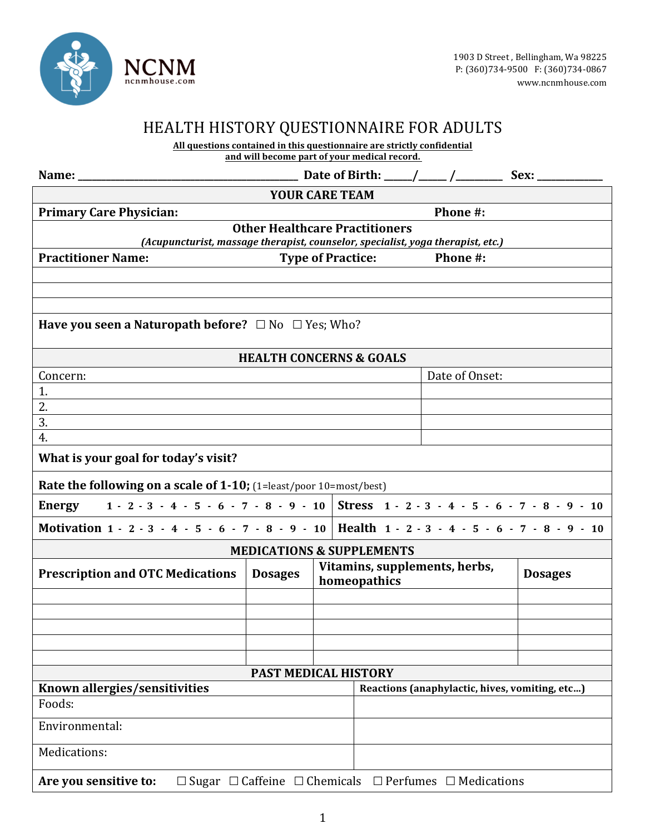

## HEALTH HISTORY QUESTIONNAIRE FOR ADULTS

All questions contained in this questionnaire are strictly confidential and will become part of your medical record.

| Name: ______                                                                                              |                                       |                          |                                                 |                | Sex: |
|-----------------------------------------------------------------------------------------------------------|---------------------------------------|--------------------------|-------------------------------------------------|----------------|------|
| <b>YOUR CARE TEAM</b>                                                                                     |                                       |                          |                                                 |                |      |
| <b>Primary Care Physician:</b>                                                                            |                                       |                          |                                                 | Phone #:       |      |
|                                                                                                           | <b>Other Healthcare Practitioners</b> |                          |                                                 |                |      |
| (Acupuncturist, massage therapist, counselor, specialist, yoga therapist, etc.)                           |                                       |                          |                                                 |                |      |
| <b>Practitioner Name:</b>                                                                                 |                                       | <b>Type of Practice:</b> |                                                 | Phone #:       |      |
|                                                                                                           |                                       |                          |                                                 |                |      |
|                                                                                                           |                                       |                          |                                                 |                |      |
| <b>Have you seen a Naturopath before?</b> $\Box$ No $\Box$ Yes; Who?                                      |                                       |                          |                                                 |                |      |
|                                                                                                           |                                       |                          |                                                 |                |      |
|                                                                                                           | <b>HEALTH CONCERNS &amp; GOALS</b>    |                          |                                                 |                |      |
| Concern:                                                                                                  |                                       |                          |                                                 | Date of Onset: |      |
| 1.                                                                                                        |                                       |                          |                                                 |                |      |
| 2.                                                                                                        |                                       |                          |                                                 |                |      |
| 3.                                                                                                        |                                       |                          |                                                 |                |      |
| 4.                                                                                                        |                                       |                          |                                                 |                |      |
| What is your goal for today's visit?                                                                      |                                       |                          |                                                 |                |      |
| <b>Rate the following on a scale of 1-10;</b> (1=least/poor 10=most/best)                                 |                                       |                          |                                                 |                |      |
| Energy 1 - 2 - 3 - 4 - 5 - 6 - 7 - 8 - 9 - 10 Stress 1 - 2 - 3 - 4 - 5 - 6 - 7 - 8 - 9 - 10               |                                       |                          |                                                 |                |      |
| Motivation 1 - 2 - 3 - 4 - 5 - 6 - 7 - 8 - 9 - 10 Health 1 - 2 - 3 - 4 - 5 - 6 - 7 - 8 - 9 - 10           |                                       |                          |                                                 |                |      |
|                                                                                                           | <b>MEDICATIONS &amp; SUPPLEMENTS</b>  |                          |                                                 |                |      |
| <b>Prescription and OTC Medications</b>                                                                   | <b>Dosages</b>                        | homeopathics             | Vitamins, supplements, herbs,<br><b>Dosages</b> |                |      |
|                                                                                                           |                                       |                          |                                                 |                |      |
|                                                                                                           |                                       |                          |                                                 |                |      |
|                                                                                                           |                                       |                          |                                                 |                |      |
|                                                                                                           |                                       |                          |                                                 |                |      |
|                                                                                                           |                                       |                          |                                                 |                |      |
| <b>PAST MEDICAL HISTORY</b><br>Reactions (anaphylactic, hives, vomiting, etc)                             |                                       |                          |                                                 |                |      |
| Known allergies/sensitivities<br>Foods:                                                                   |                                       |                          |                                                 |                |      |
|                                                                                                           |                                       |                          |                                                 |                |      |
| Environmental:                                                                                            |                                       |                          |                                                 |                |      |
| Medications:                                                                                              |                                       |                          |                                                 |                |      |
| $\Box$ Sugar $\Box$ Caffeine $\Box$ Chemicals $\Box$ Perfumes $\Box$ Medications<br>Are you sensitive to: |                                       |                          |                                                 |                |      |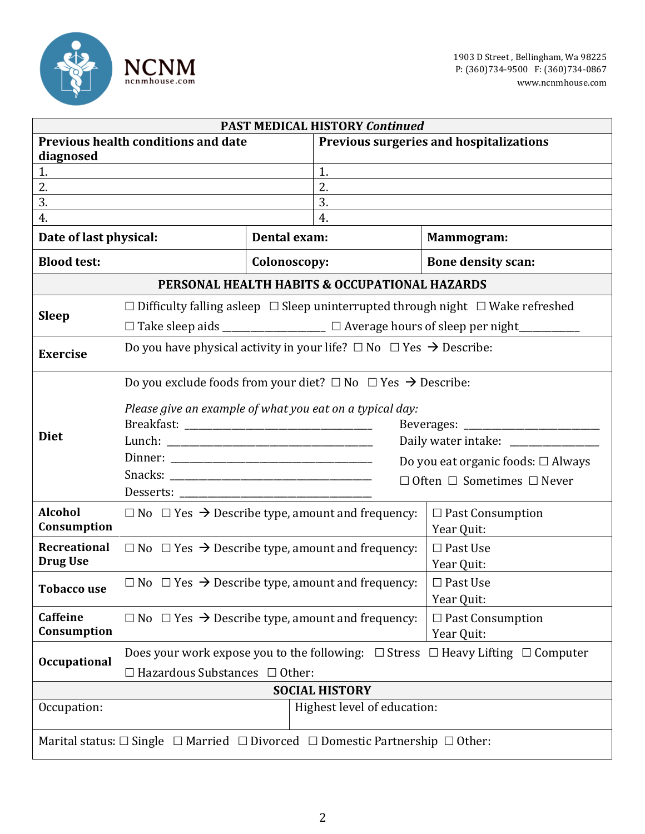

| <b>PAST MEDICAL HISTORY Continued</b>                                                                  |                                                                                                |                                                                         |                             |                                                                                                 |  |
|--------------------------------------------------------------------------------------------------------|------------------------------------------------------------------------------------------------|-------------------------------------------------------------------------|-----------------------------|-------------------------------------------------------------------------------------------------|--|
| <b>Previous health conditions and date</b>                                                             |                                                                                                | Previous surgeries and hospitalizations                                 |                             |                                                                                                 |  |
| diagnosed                                                                                              |                                                                                                |                                                                         |                             |                                                                                                 |  |
| 1.                                                                                                     |                                                                                                | 1.                                                                      |                             |                                                                                                 |  |
| 2.                                                                                                     |                                                                                                |                                                                         | 2.                          |                                                                                                 |  |
| 3.                                                                                                     |                                                                                                |                                                                         | 3.                          |                                                                                                 |  |
| 4.                                                                                                     |                                                                                                |                                                                         | 4.                          |                                                                                                 |  |
| Date of last physical:<br>Dental exam:                                                                 |                                                                                                |                                                                         | Mammogram:                  |                                                                                                 |  |
| <b>Blood test:</b>                                                                                     |                                                                                                | Colonoscopy:                                                            |                             | <b>Bone density scan:</b>                                                                       |  |
| PERSONAL HEALTH HABITS & OCCUPATIONAL HAZARDS                                                          |                                                                                                |                                                                         |                             |                                                                                                 |  |
|                                                                                                        |                                                                                                |                                                                         |                             | $\Box$ Difficulty falling asleep $\Box$ Sleep uninterrupted through night $\Box$ Wake refreshed |  |
| <b>Sleep</b>                                                                                           | □ Take sleep aids _________________ □ Average hours of sleep per night_________                |                                                                         |                             |                                                                                                 |  |
| <b>Exercise</b>                                                                                        | Do you have physical activity in your life? $\Box$ No $\Box$ Yes $\rightarrow$ Describe:       |                                                                         |                             |                                                                                                 |  |
|                                                                                                        | Do you exclude foods from your diet? $\square$ No $\square$ Yes $\rightarrow$ Describe:        |                                                                         |                             |                                                                                                 |  |
|                                                                                                        |                                                                                                |                                                                         |                             |                                                                                                 |  |
|                                                                                                        | Please give an example of what you eat on a typical day:                                       |                                                                         |                             |                                                                                                 |  |
| <b>Diet</b>                                                                                            |                                                                                                |                                                                         |                             |                                                                                                 |  |
|                                                                                                        | Daily water intake: _______________                                                            |                                                                         |                             |                                                                                                 |  |
|                                                                                                        |                                                                                                |                                                                         |                             | Do you eat organic foods: $\Box$ Always                                                         |  |
|                                                                                                        |                                                                                                | $\Box$ Often $\Box$ Sometimes $\Box$ Never                              |                             |                                                                                                 |  |
|                                                                                                        |                                                                                                |                                                                         |                             |                                                                                                 |  |
| <b>Alcohol</b>                                                                                         | $\Box$ No $\Box$ Yes $\rightarrow$ Describe type, amount and frequency:                        |                                                                         | $\square$ Past Consumption  |                                                                                                 |  |
| Consumption                                                                                            |                                                                                                |                                                                         |                             | Year Quit:                                                                                      |  |
| <b>Recreational</b>                                                                                    | $\Box$ No $\Box$ Yes $\rightarrow$ Describe type, amount and frequency:                        |                                                                         |                             | $\square$ Past Use                                                                              |  |
| <b>Drug Use</b>                                                                                        |                                                                                                |                                                                         |                             | Year Quit:                                                                                      |  |
|                                                                                                        | $\Box$ No $\Box$ Yes $\rightarrow$ Describe type, amount and frequency:                        |                                                                         |                             | $\Box$ Past Use                                                                                 |  |
| <b>Tobacco use</b>                                                                                     |                                                                                                |                                                                         | Year Quit:                  |                                                                                                 |  |
| Caffeine                                                                                               |                                                                                                | $\Box$ No $\Box$ Yes $\rightarrow$ Describe type, amount and frequency: |                             | $\Box$ Past Consumption                                                                         |  |
| Consumption                                                                                            | Year Quit:                                                                                     |                                                                         |                             |                                                                                                 |  |
| <b>Occupational</b>                                                                                    | Does your work expose you to the following: $\Box$ Stress $\Box$ Heavy Lifting $\Box$ Computer |                                                                         |                             |                                                                                                 |  |
|                                                                                                        | $\Box$ Hazardous Substances $\Box$ Other:                                                      |                                                                         |                             |                                                                                                 |  |
|                                                                                                        |                                                                                                |                                                                         | <b>SOCIAL HISTORY</b>       |                                                                                                 |  |
| Occupation:                                                                                            |                                                                                                |                                                                         | Highest level of education: |                                                                                                 |  |
|                                                                                                        |                                                                                                |                                                                         |                             |                                                                                                 |  |
| Marital status: $\Box$ Single $\Box$ Married $\Box$ Divorced $\Box$ Domestic Partnership $\Box$ Other: |                                                                                                |                                                                         |                             |                                                                                                 |  |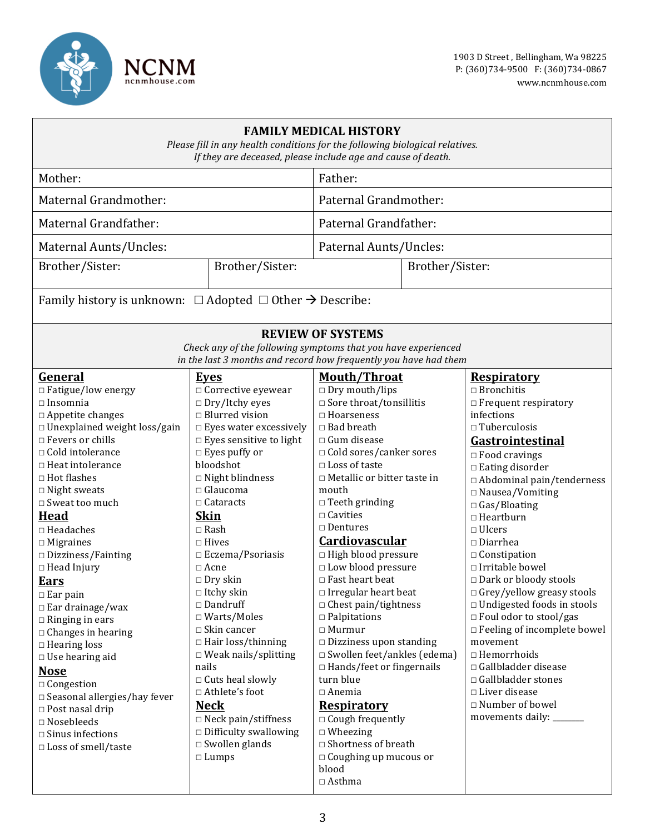

| <b>FAMILY MEDICAL HISTORY</b><br>Please fill in any health conditions for the following biological relatives.<br>If they are deceased, please include age and cause of death. |                                                                                                                                   |                                                                         |                 |                                    |  |
|-------------------------------------------------------------------------------------------------------------------------------------------------------------------------------|-----------------------------------------------------------------------------------------------------------------------------------|-------------------------------------------------------------------------|-----------------|------------------------------------|--|
| Mother:                                                                                                                                                                       |                                                                                                                                   | Father:                                                                 |                 |                                    |  |
| Maternal Grandmother:                                                                                                                                                         |                                                                                                                                   | Paternal Grandmother:                                                   |                 |                                    |  |
| Maternal Grandfather:                                                                                                                                                         |                                                                                                                                   | Paternal Grandfather:                                                   |                 |                                    |  |
| Maternal Aunts/Uncles:                                                                                                                                                        |                                                                                                                                   | Paternal Aunts/Uncles:                                                  |                 |                                    |  |
| Brother/Sister:<br>Brother/Sister:                                                                                                                                            |                                                                                                                                   |                                                                         | Brother/Sister: |                                    |  |
| Family history is unknown: $\Box$ Adopted $\Box$ Other $\rightarrow$ Describe:                                                                                                |                                                                                                                                   |                                                                         |                 |                                    |  |
| <b>REVIEW OF SYSTEMS</b>                                                                                                                                                      |                                                                                                                                   |                                                                         |                 |                                    |  |
|                                                                                                                                                                               | Check any of the following symptoms that you have experienced<br>in the last 3 months and record how frequently you have had them |                                                                         |                 |                                    |  |
| General                                                                                                                                                                       | Eyes                                                                                                                              | <b>Mouth/Throat</b>                                                     |                 | <b>Respiratory</b>                 |  |
| $\Box$ Fatigue/low energy                                                                                                                                                     | $\Box$ Corrective eyewear                                                                                                         | $\Box$ Dry mouth/lips                                                   |                 | $\Box$ Bronchitis                  |  |
| $\Box$ Insomnia                                                                                                                                                               | $\Box$ Dry/Itchy eyes                                                                                                             | $\square$ Sore throat/tonsillitis                                       |                 | $\Box$ Frequent respiratory        |  |
| $\Box$ Appetite changes                                                                                                                                                       | $\Box$ Blurred vision                                                                                                             | $\Box$ Hoarseness                                                       |                 | infections                         |  |
| □ Unexplained weight loss/gain                                                                                                                                                | $\Box$ Eyes water excessively                                                                                                     | $\Box$ Bad breath                                                       |                 | $\Box$ Tuberculosis                |  |
| $\Box$ Fevers or chills                                                                                                                                                       | $\Box$ Eyes sensitive to light                                                                                                    | $\Box$ Gum disease                                                      |                 | Gastrointestinal                   |  |
| □ Cold intolerance                                                                                                                                                            | $\Box$ Eyes puffy or                                                                                                              | $\Box$ Cold sores/canker sores                                          |                 | $\Box$ Food cravings               |  |
| $\Box$ Heat intolerance                                                                                                                                                       | bloodshot                                                                                                                         | $\square$ Loss of taste                                                 |                 | $\Box$ Eating disorder             |  |
| $\Box$ Hot flashes                                                                                                                                                            | $\square$ Night blindness                                                                                                         | $\Box$ Metallic or bitter taste in                                      |                 | □ Abdominal pain/tenderness        |  |
| $\Box$ Night sweats                                                                                                                                                           | $\Box$ Glaucoma                                                                                                                   | mouth                                                                   |                 | □ Nausea/Vomiting                  |  |
| □ Sweat too much                                                                                                                                                              | $\Box$ Cataracts                                                                                                                  | $\Box$ Teeth grinding                                                   |                 | $\Box$ Gas/Bloating                |  |
| Head                                                                                                                                                                          | <b>Skin</b>                                                                                                                       | $\Box$ Cavities                                                         |                 | $\Box$ Heartburn                   |  |
| $\Box$ Headaches                                                                                                                                                              | $\square$ Rash                                                                                                                    | $\Box$ Dentures                                                         |                 | $\Box$ Ulcers                      |  |
| $\Box$ Migraines                                                                                                                                                              | $\Box$ Hives                                                                                                                      | Cardiovascular                                                          |                 | $\Box$ Diarrhea                    |  |
| $\Box$ Dizziness/Fainting                                                                                                                                                     | $\Box$ Eczema/Psoriasis                                                                                                           | □ High blood pressure                                                   |                 | $\Box$ Constipation                |  |
| $\Box$ Head Injury                                                                                                                                                            | $\Box$ Acne                                                                                                                       | □ Low blood pressure                                                    |                 | □ Irritable bowel                  |  |
| <b>Ears</b>                                                                                                                                                                   | $\Box$ Dry skin                                                                                                                   | $\Box$ Fast heart beat                                                  |                 | $\Box$ Dark or bloody stools       |  |
| $\Box$ Ear pain                                                                                                                                                               | $\Box$ Itchy skin                                                                                                                 | $\Box$ Irregular heart beat                                             |                 | □ Grey/yellow greasy stools        |  |
| $\Box$ Ear drainage/wax                                                                                                                                                       | $\Box$ Dandruff                                                                                                                   | $\Box$ Chest pain/tightness                                             |                 | $\Box$ Undigested foods in stools  |  |
| $\Box$ Ringing in ears                                                                                                                                                        | $\Box$ Warts/Moles                                                                                                                | $\Box$ Palpitations                                                     |                 | $\Box$ Foul odor to stool/gas      |  |
| $\Box$ Changes in hearing                                                                                                                                                     | $\Box$ Skin cancer                                                                                                                | $\Box$ Murmur                                                           |                 | $\Box$ Feeling of incomplete bowel |  |
| $\Box$ Hearing loss                                                                                                                                                           | $\Box$ Hair loss/thinning<br>$\Box$ Weak nails/splitting                                                                          | $\Box$ Dizziness upon standing<br>$\square$ Swollen feet/ankles (edema) |                 | movement<br>$\Box$ Hemorrhoids     |  |
| $\Box$ Use hearing aid                                                                                                                                                        | nails                                                                                                                             | $\Box$ Hands/feet or fingernails                                        |                 | $\Box$ Gallbladder disease         |  |
| <b>Nose</b>                                                                                                                                                                   | $\Box$ Cuts heal slowly                                                                                                           | turn blue                                                               |                 | $\Box$ Gallbladder stones          |  |
| □ Congestion                                                                                                                                                                  | □ Athlete's foot                                                                                                                  | $\Box$ Anemia                                                           |                 | $\Box$ Liver disease               |  |
| $\square$ Seasonal allergies/hay fever                                                                                                                                        | <b>Neck</b>                                                                                                                       | <b>Respiratory</b>                                                      |                 | $\Box$ Number of bowel             |  |
| $\Box$ Post nasal drip                                                                                                                                                        | $\Box$ Neck pain/stiffness                                                                                                        | $\Box$ Cough frequently                                                 |                 | movements daily:                   |  |
| $\hfill\Box$ Nosebleeds                                                                                                                                                       | $\hfill \Box$<br><br>Difficulty swallowing                                                                                        | $\Box$ Wheezing                                                         |                 |                                    |  |
| $\Box$ Sinus infections                                                                                                                                                       | $\Box$ Swollen glands                                                                                                             | □ Shortness of breath                                                   |                 |                                    |  |
| □ Loss of smell/taste                                                                                                                                                         | $\Box$ Lumps                                                                                                                      | $\Box$ Coughing up mucous or                                            |                 |                                    |  |
|                                                                                                                                                                               |                                                                                                                                   | blood<br>$\Box$ Asthma                                                  |                 |                                    |  |